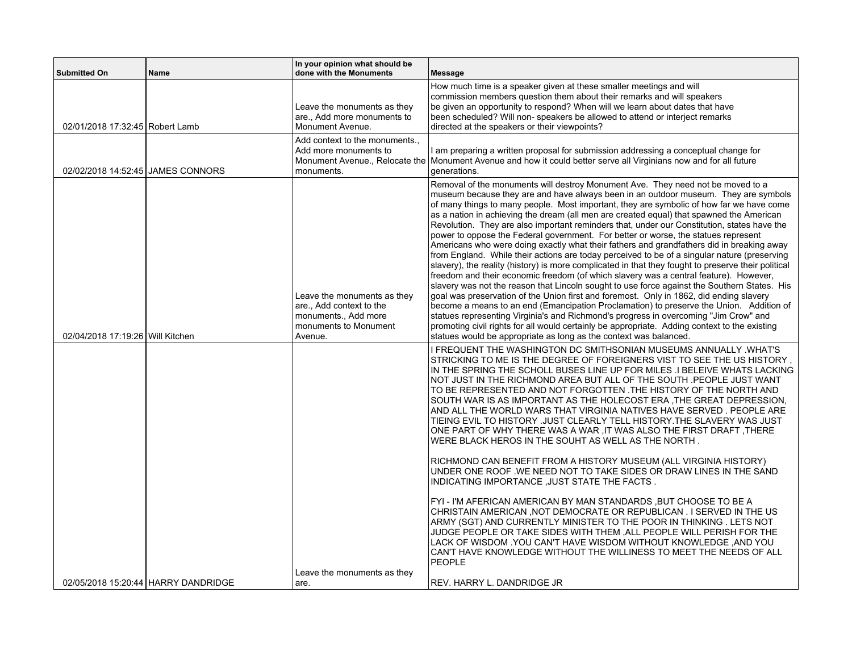| <b>Submitted On</b>               | <b>Name</b>                         | In your opinion what should be<br>done with the Monuments                                                           | <b>Message</b>                                                                                                                                                                                                                                                                                                                                                                                                                                                                                                                                                                                                                                                                                                                                                                                                                                                                                                                                                                                                                                                                                                                                                                                                                                                                                                                                                                                                                                                                                       |
|-----------------------------------|-------------------------------------|---------------------------------------------------------------------------------------------------------------------|------------------------------------------------------------------------------------------------------------------------------------------------------------------------------------------------------------------------------------------------------------------------------------------------------------------------------------------------------------------------------------------------------------------------------------------------------------------------------------------------------------------------------------------------------------------------------------------------------------------------------------------------------------------------------------------------------------------------------------------------------------------------------------------------------------------------------------------------------------------------------------------------------------------------------------------------------------------------------------------------------------------------------------------------------------------------------------------------------------------------------------------------------------------------------------------------------------------------------------------------------------------------------------------------------------------------------------------------------------------------------------------------------------------------------------------------------------------------------------------------------|
| 02/01/2018 17:32:45 Robert Lamb   |                                     | Leave the monuments as they<br>are., Add more monuments to<br>Monument Avenue.                                      | How much time is a speaker given at these smaller meetings and will<br>commission members question them about their remarks and will speakers<br>be given an opportunity to respond? When will we learn about dates that have<br>been scheduled? Will non-speakers be allowed to attend or interject remarks<br>directed at the speakers or their viewpoints?                                                                                                                                                                                                                                                                                                                                                                                                                                                                                                                                                                                                                                                                                                                                                                                                                                                                                                                                                                                                                                                                                                                                        |
| 02/02/2018 14:52:45 JAMES CONNORS |                                     | Add context to the monuments<br>Add more monuments to<br>monuments.                                                 | I am preparing a written proposal for submission addressing a conceptual change for<br>Monument Avenue Relocate the Monument Avenue and how it could better serve all Virginians now and for all future<br>generations.                                                                                                                                                                                                                                                                                                                                                                                                                                                                                                                                                                                                                                                                                                                                                                                                                                                                                                                                                                                                                                                                                                                                                                                                                                                                              |
| 02/04/2018 17:19:26 Will Kitchen  |                                     | Leave the monuments as they<br>are., Add context to the<br>monuments., Add more<br>monuments to Monument<br>Avenue. | Removal of the monuments will destroy Monument Ave. They need not be moved to a<br>museum because they are and have always been in an outdoor museum. They are symbols<br>of many things to many people. Most important, they are symbolic of how far we have come<br>as a nation in achieving the dream (all men are created equal) that spawned the American<br>Revolution. They are also important reminders that, under our Constitution, states have the<br>power to oppose the Federal government. For better or worse, the statues represent<br>Americans who were doing exactly what their fathers and grandfathers did in breaking away<br>from England. While their actions are today perceived to be of a singular nature (preserving<br>slavery), the reality (history) is more complicated in that they fought to preserve their political<br>freedom and their economic freedom (of which slavery was a central feature). However,<br>slavery was not the reason that Lincoln sought to use force against the Southern States. His<br>goal was preservation of the Union first and foremost. Only in 1862, did ending slavery<br>become a means to an end (Emancipation Proclamation) to preserve the Union. Addition of<br>statues representing Virginia's and Richmond's progress in overcoming "Jim Crow" and<br>promoting civil rights for all would certainly be appropriate. Adding context to the existing<br>statues would be appropriate as long as the context was balanced. |
|                                   |                                     |                                                                                                                     | I FREQUENT THE WASHINGTON DC SMITHSONIAN MUSEUMS ANNUALLY .WHAT'S<br>STRICKING TO ME IS THE DEGREE OF FOREIGNERS VIST TO SEE THE US HISTORY,<br>IN THE SPRING THE SCHOLL BUSES LINE UP FOR MILES .I BELEIVE WHATS LACKING<br>NOT JUST IN THE RICHMOND AREA BUT ALL OF THE SOUTH .PEOPLE JUST WANT<br>TO BE REPRESENTED AND NOT FORGOTTEN .THE HISTORY OF THE NORTH AND<br>SOUTH WAR IS AS IMPORTANT AS THE HOLECOST ERA THE GREAT DEPRESSION.<br>AND ALL THE WORLD WARS THAT VIRGINIA NATIVES HAVE SERVED . PEOPLE ARE<br>TIEING EVIL TO HISTORY .JUST CLEARLY TELL HISTORY.THE SLAVERY WAS JUST<br>ONE PART OF WHY THERE WAS A WAR, IT WAS ALSO THE FIRST DRAFT, THERE<br>WERE BLACK HEROS IN THE SOUHT AS WELL AS THE NORTH.<br>RICHMOND CAN BENEFIT FROM A HISTORY MUSEUM (ALL VIRGINIA HISTORY)<br>UNDER ONE ROOF .WE NEED NOT TO TAKE SIDES OR DRAW LINES IN THE SAND<br>INDICATING IMPORTANCE, JUST STATE THE FACTS.<br>FYI - I'M AFERICAN AMERICAN BY MAN STANDARDS ,BUT CHOOSE TO BE A<br>CHRISTAIN AMERICAN, NOT DEMOCRATE OR REPUBLICAN. I SERVED IN THE US<br>ARMY (SGT) AND CURRENTLY MINISTER TO THE POOR IN THINKING . LETS NOT<br>JUDGE PEOPLE OR TAKE SIDES WITH THEM, ALL PEOPLE WILL PERISH FOR THE<br>LACK OF WISDOM YOU CAN'T HAVE WISDOM WITHOUT KNOWLEDGE ,AND YOU<br>CAN'T HAVE KNOWLEDGE WITHOUT THE WILLINESS TO MEET THE NEEDS OF ALL<br>PEOPLE                                                                                                                            |
|                                   | 02/05/2018 15:20:44 HARRY DANDRIDGE | Leave the monuments as they<br>are.                                                                                 | REV. HARRY L. DANDRIDGE JR                                                                                                                                                                                                                                                                                                                                                                                                                                                                                                                                                                                                                                                                                                                                                                                                                                                                                                                                                                                                                                                                                                                                                                                                                                                                                                                                                                                                                                                                           |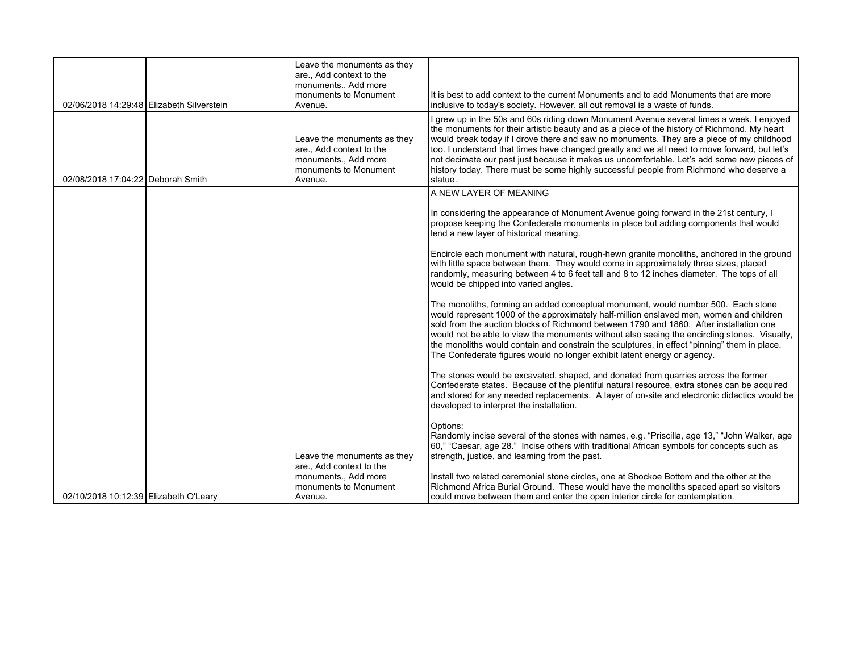| 02/06/2018 14:29:48 Elizabeth Silverstein | Leave the monuments as they<br>are., Add context to the<br>monuments., Add more<br>monuments to Monument<br>Avenue. | It is best to add context to the current Monuments and to add Monuments that are more<br>inclusive to today's society. However, all out removal is a waste of funds.                                                                                                                                                                                                                                                                                                                                                                                                                                                                                                                                                                                                                                                                                                                                                                                                                                                                                                                                                              |
|-------------------------------------------|---------------------------------------------------------------------------------------------------------------------|-----------------------------------------------------------------------------------------------------------------------------------------------------------------------------------------------------------------------------------------------------------------------------------------------------------------------------------------------------------------------------------------------------------------------------------------------------------------------------------------------------------------------------------------------------------------------------------------------------------------------------------------------------------------------------------------------------------------------------------------------------------------------------------------------------------------------------------------------------------------------------------------------------------------------------------------------------------------------------------------------------------------------------------------------------------------------------------------------------------------------------------|
| 02/08/2018 17:04:22 Deborah Smith         | Leave the monuments as they<br>are., Add context to the<br>monuments., Add more<br>monuments to Monument<br>Avenue. | I grew up in the 50s and 60s riding down Monument Avenue several times a week. I enjoyed<br>the monuments for their artistic beauty and as a piece of the history of Richmond. My heart<br>would break today if I drove there and saw no monuments. They are a piece of my childhood<br>too. I understand that times have changed greatly and we all need to move forward, but let's<br>not decimate our past just because it makes us uncomfortable. Let's add some new pieces of<br>history today. There must be some highly successful people from Richmond who deserve a<br>statue.                                                                                                                                                                                                                                                                                                                                                                                                                                                                                                                                           |
|                                           |                                                                                                                     | A NEW LAYER OF MEANING<br>In considering the appearance of Monument Avenue going forward in the 21st century, I<br>propose keeping the Confederate monuments in place but adding components that would<br>lend a new layer of historical meaning.<br>Encircle each monument with natural, rough-hewn granite monoliths, anchored in the ground<br>with little space between them. They would come in approximately three sizes, placed<br>randomly, measuring between 4 to 6 feet tall and 8 to 12 inches diameter. The tops of all<br>would be chipped into varied angles.<br>The monoliths, forming an added conceptual monument, would number 500. Each stone<br>would represent 1000 of the approximately half-million enslaved men, women and children<br>sold from the auction blocks of Richmond between 1790 and 1860. After installation one<br>would not be able to view the monuments without also seeing the encircling stones. Visually,<br>the monoliths would contain and constrain the sculptures, in effect "pinning" them in place.<br>The Confederate figures would no longer exhibit latent energy or agency. |
| 02/10/2018 10:12:39 Elizabeth O'Leary     | Leave the monuments as they<br>are., Add context to the<br>monuments., Add more<br>monuments to Monument<br>Avenue. | The stones would be excavated, shaped, and donated from quarries across the former<br>Confederate states. Because of the plentiful natural resource, extra stones can be acquired<br>and stored for any needed replacements. A layer of on-site and electronic didactics would be<br>developed to interpret the installation.<br>Options:<br>Randomly incise several of the stones with names, e.g. "Priscilla, age 13," "John Walker, age<br>60," "Caesar, age 28." Incise others with traditional African symbols for concepts such as<br>strength, justice, and learning from the past.<br>Install two related ceremonial stone circles, one at Shockoe Bottom and the other at the<br>Richmond Africa Burial Ground. These would have the monoliths spaced apart so visitors<br>could move between them and enter the open interior circle for contemplation.                                                                                                                                                                                                                                                                 |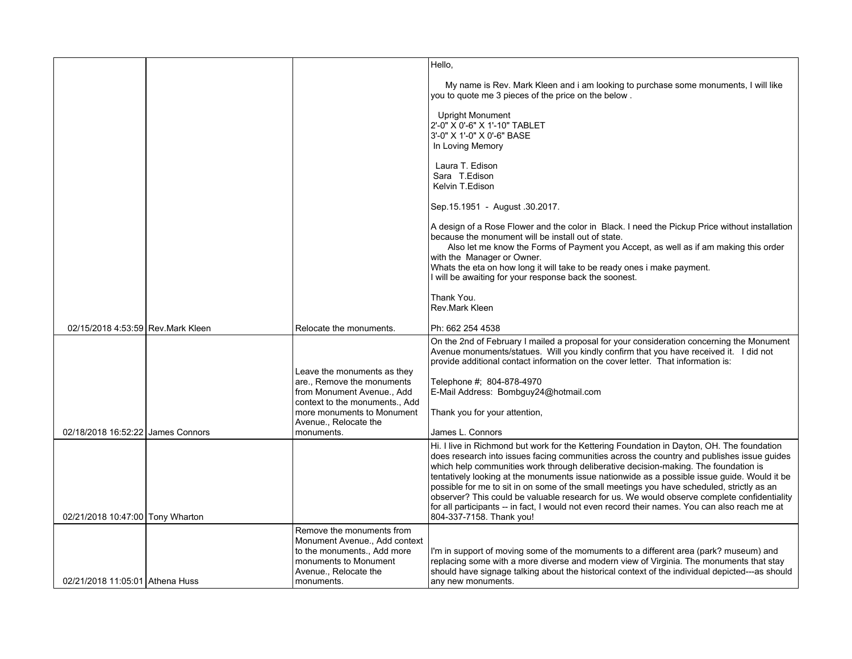|                                    |                                                                                       | Hello,                                                                                                                                                                                                                                                                                                                                                                                                                                                                                                                                                                                                                                                                                                     |
|------------------------------------|---------------------------------------------------------------------------------------|------------------------------------------------------------------------------------------------------------------------------------------------------------------------------------------------------------------------------------------------------------------------------------------------------------------------------------------------------------------------------------------------------------------------------------------------------------------------------------------------------------------------------------------------------------------------------------------------------------------------------------------------------------------------------------------------------------|
|                                    |                                                                                       | My name is Rev. Mark Kleen and i am looking to purchase some monuments, I will like<br>you to quote me 3 pieces of the price on the below.                                                                                                                                                                                                                                                                                                                                                                                                                                                                                                                                                                 |
|                                    |                                                                                       | Upright Monument<br>2'-0" X 0'-6" X 1'-10" TABLET<br>3'-0" X 1'-0" X 0'-6" BASE<br>In Loving Memory                                                                                                                                                                                                                                                                                                                                                                                                                                                                                                                                                                                                        |
|                                    |                                                                                       | Laura T. Edison<br>Sara T.Edison<br>Kelvin T.Edison                                                                                                                                                                                                                                                                                                                                                                                                                                                                                                                                                                                                                                                        |
|                                    |                                                                                       | Sep. 15.1951 - August 30.2017.                                                                                                                                                                                                                                                                                                                                                                                                                                                                                                                                                                                                                                                                             |
|                                    |                                                                                       | A design of a Rose Flower and the color in Black. I need the Pickup Price without installation<br>because the monument will be install out of state.<br>Also let me know the Forms of Payment you Accept, as well as if am making this order<br>with the Manager or Owner.<br>Whats the eta on how long it will take to be ready ones i make payment.<br>I will be awaiting for your response back the soonest.                                                                                                                                                                                                                                                                                            |
|                                    |                                                                                       | Thank You.<br>Rev.Mark Kleen                                                                                                                                                                                                                                                                                                                                                                                                                                                                                                                                                                                                                                                                               |
| 02/15/2018 4:53:59 Rev. Mark Kleen | Relocate the monuments.                                                               | Ph: 662 254 4538                                                                                                                                                                                                                                                                                                                                                                                                                                                                                                                                                                                                                                                                                           |
|                                    | Leave the monuments as they                                                           | On the 2nd of February I mailed a proposal for your consideration concerning the Monument<br>Avenue monuments/statues. Will you kindly confirm that you have received it. I did not<br>provide additional contact information on the cover letter. That information is:                                                                                                                                                                                                                                                                                                                                                                                                                                    |
|                                    | are., Remove the monuments                                                            | Telephone #; 804-878-4970                                                                                                                                                                                                                                                                                                                                                                                                                                                                                                                                                                                                                                                                                  |
|                                    | from Monument Avenue., Add<br>context to the monuments., Add                          | E-Mail Address: Bombguy24@hotmail.com                                                                                                                                                                                                                                                                                                                                                                                                                                                                                                                                                                                                                                                                      |
|                                    | more monuments to Monument<br>Avenue., Relocate the                                   | Thank you for your attention,                                                                                                                                                                                                                                                                                                                                                                                                                                                                                                                                                                                                                                                                              |
| 02/18/2018 16:52:22 James Connors  | monuments.                                                                            | James L. Connors                                                                                                                                                                                                                                                                                                                                                                                                                                                                                                                                                                                                                                                                                           |
| 02/21/2018 10:47:00 Tony Wharton   |                                                                                       | Hi. I live in Richmond but work for the Kettering Foundation in Dayton, OH. The foundation<br>does research into issues facing communities across the country and publishes issue guides<br>which help communities work through deliberative decision-making. The foundation is<br>tentatively looking at the monuments issue nationwide as a possible issue guide. Would it be<br>possible for me to sit in on some of the small meetings you have scheduled, strictly as an<br>observer? This could be valuable research for us. We would observe complete confidentiality<br>for all participants -- in fact, I would not even record their names. You can also reach me at<br>804-337-7158. Thank you! |
|                                    | Remove the monuments from                                                             |                                                                                                                                                                                                                                                                                                                                                                                                                                                                                                                                                                                                                                                                                                            |
|                                    | Monument Avenue., Add context<br>to the monuments., Add more<br>monuments to Monument | I'm in support of moving some of the momuments to a different area (park? museum) and<br>replacing some with a more diverse and modern view of Virginia. The monuments that stay                                                                                                                                                                                                                                                                                                                                                                                                                                                                                                                           |
| 02/21/2018 11:05:01 Athena Huss    | Avenue., Relocate the<br>monuments.                                                   | should have signage talking about the historical context of the individual depicted---as should<br>any new monuments.                                                                                                                                                                                                                                                                                                                                                                                                                                                                                                                                                                                      |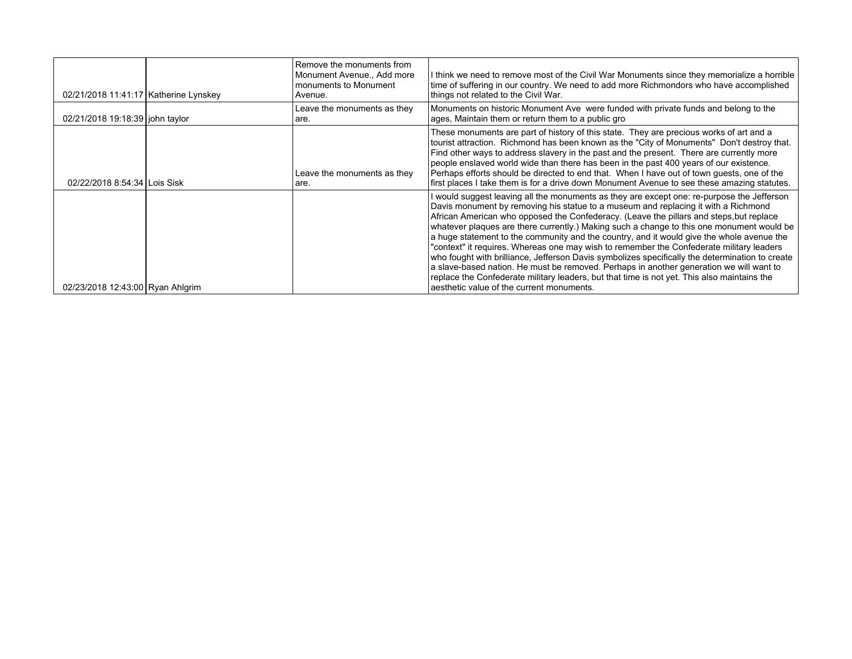| 02/21/2018 11:41:17   Katherine Lynskey | Remove the monuments from<br>Monument Avenue., Add more<br>monuments to Monument<br>Avenue. | I think we need to remove most of the Civil War Monuments since they memorialize a horrible<br>time of suffering in our country. We need to add more Richmondors who have accomplished<br>things not related to the Civil War.                                                                                                                                                                                                                                                                                                                                                                                                                                                                                                                                                                                                                                                                              |
|-----------------------------------------|---------------------------------------------------------------------------------------------|-------------------------------------------------------------------------------------------------------------------------------------------------------------------------------------------------------------------------------------------------------------------------------------------------------------------------------------------------------------------------------------------------------------------------------------------------------------------------------------------------------------------------------------------------------------------------------------------------------------------------------------------------------------------------------------------------------------------------------------------------------------------------------------------------------------------------------------------------------------------------------------------------------------|
| 02/21/2018 19:18:39 john taylor         | Leave the monuments as they<br>are.                                                         | Monuments on historic Monument Ave were funded with private funds and belong to the<br>ages, Maintain them or return them to a public gro                                                                                                                                                                                                                                                                                                                                                                                                                                                                                                                                                                                                                                                                                                                                                                   |
| 02/22/2018 8:54:34 Lois Sisk            | Leave the monuments as they<br>are.                                                         | These monuments are part of history of this state. They are precious works of art and a<br>tourist attraction. Richmond has been known as the "City of Monuments" Don't destroy that.<br>Find other ways to address slavery in the past and the present. There are currently more<br>people enslaved world wide than there has been in the past 400 years of our existence.<br>Perhaps efforts should be directed to end that. When I have out of town quests, one of the<br>first places I take them is for a drive down Monument Avenue to see these amazing statutes.                                                                                                                                                                                                                                                                                                                                    |
| 02/23/2018 12:43:00 Ryan Ahlgrim        |                                                                                             | I would suggest leaving all the monuments as they are except one: re-purpose the Jefferson<br>Davis monument by removing his statue to a museum and replacing it with a Richmond<br>African American who opposed the Confederacy. (Leave the pillars and steps, but replace<br>whatever plaques are there currently.) Making such a change to this one monument would be<br>a huge statement to the community and the country, and it would give the whole avenue the<br>"context" it requires. Whereas one may wish to remember the Confederate military leaders<br>who fought with brilliance, Jefferson Davis symbolizes specifically the determination to create<br>a slave-based nation. He must be removed. Perhaps in another generation we will want to<br>replace the Confederate military leaders, but that time is not yet. This also maintains the<br>aesthetic value of the current monuments. |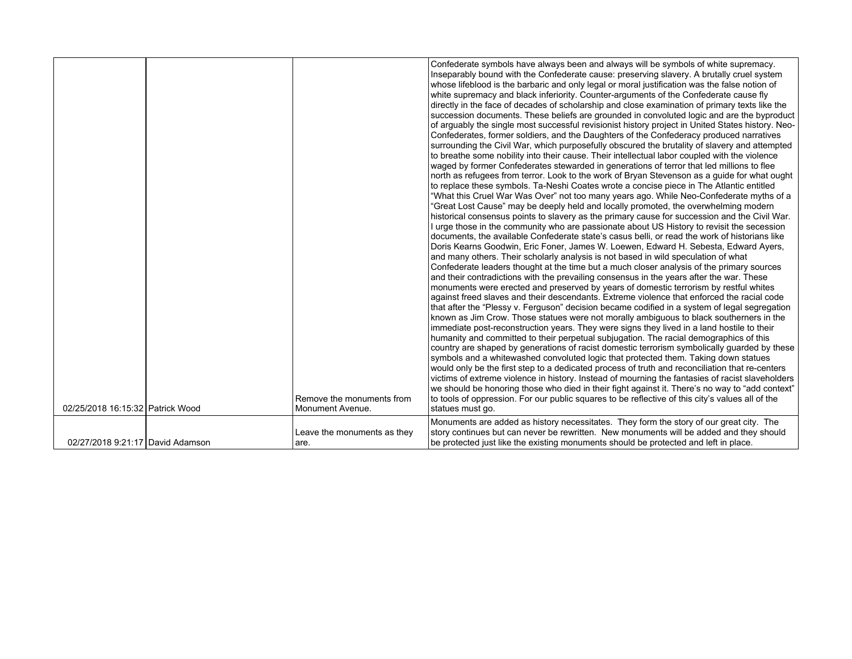| 02/25/2018 16:15:32 Patrick Wood | Remove the monuments from<br>Monument Avenue. | Confederate symbols have always been and always will be symbols of white supremacy.<br>Inseparably bound with the Confederate cause: preserving slavery. A brutally cruel system<br>whose lifeblood is the barbaric and only legal or moral justification was the false notion of<br>white supremacy and black inferiority. Counter-arguments of the Confederate cause fly<br>directly in the face of decades of scholarship and close examination of primary texts like the<br>succession documents. These beliefs are grounded in convoluted logic and are the byproduct<br>of arguably the single most successful revisionist history project in United States history. Neo-<br>Confederates, former soldiers, and the Daughters of the Confederacy produced narratives<br>surrounding the Civil War, which purposefully obscured the brutality of slavery and attempted<br>to breathe some nobility into their cause. Their intellectual labor coupled with the violence<br>waged by former Confederates stewarded in generations of terror that led millions to flee<br>north as refugees from terror. Look to the work of Bryan Stevenson as a guide for what ought<br>to replace these symbols. Ta-Neshi Coates wrote a concise piece in The Atlantic entitled<br>"What this Cruel War Was Over" not too many years ago. While Neo-Confederate myths of a<br>"Great Lost Cause" may be deeply held and locally promoted, the overwhelming modern<br>historical consensus points to slavery as the primary cause for succession and the Civil War.<br>I urge those in the community who are passionate about US History to revisit the secession<br>documents, the available Confederate state's casus belli, or read the work of historians like<br>Doris Kearns Goodwin, Eric Foner, James W. Loewen, Edward H. Sebesta, Edward Ayers,<br>and many others. Their scholarly analysis is not based in wild speculation of what<br>Confederate leaders thought at the time but a much closer analysis of the primary sources<br>and their contradictions with the prevailing consensus in the years after the war. These<br>monuments were erected and preserved by years of domestic terrorism by restful whites<br>against freed slaves and their descendants. Extreme violence that enforced the racial code<br>that after the "Plessy v. Ferguson" decision became codified in a system of legal segregation<br>known as Jim Crow. Those statues were not morally ambiguous to black southerners in the<br>immediate post-reconstruction years. They were signs they lived in a land hostile to their<br>humanity and committed to their perpetual subjugation. The racial demographics of this<br>country are shaped by generations of racist domestic terrorism symbolically guarded by these<br>symbols and a whitewashed convoluted logic that protected them. Taking down statues<br>would only be the first step to a dedicated process of truth and reconciliation that re-centers<br>victims of extreme violence in history. Instead of mourning the fantasies of racist slaveholders<br>we should be honoring those who died in their fight against it. There's no way to "add context"<br>to tools of oppression. For our public squares to be reflective of this city's values all of the<br>statues must go. |
|----------------------------------|-----------------------------------------------|-----------------------------------------------------------------------------------------------------------------------------------------------------------------------------------------------------------------------------------------------------------------------------------------------------------------------------------------------------------------------------------------------------------------------------------------------------------------------------------------------------------------------------------------------------------------------------------------------------------------------------------------------------------------------------------------------------------------------------------------------------------------------------------------------------------------------------------------------------------------------------------------------------------------------------------------------------------------------------------------------------------------------------------------------------------------------------------------------------------------------------------------------------------------------------------------------------------------------------------------------------------------------------------------------------------------------------------------------------------------------------------------------------------------------------------------------------------------------------------------------------------------------------------------------------------------------------------------------------------------------------------------------------------------------------------------------------------------------------------------------------------------------------------------------------------------------------------------------------------------------------------------------------------------------------------------------------------------------------------------------------------------------------------------------------------------------------------------------------------------------------------------------------------------------------------------------------------------------------------------------------------------------------------------------------------------------------------------------------------------------------------------------------------------------------------------------------------------------------------------------------------------------------------------------------------------------------------------------------------------------------------------------------------------------------------------------------------------------------------------------------------------------------------------------------------------------------------------------------------------------------------------------------------------------------------------------------------------------------------------------------------------------------------------------------------------------------------------------------------------------------------------------------------------------------------------------------------------------------------------------------------------------------------------------------------------------------------|
|                                  |                                               | Monuments are added as history necessitates. They form the story of our great city. The                                                                                                                                                                                                                                                                                                                                                                                                                                                                                                                                                                                                                                                                                                                                                                                                                                                                                                                                                                                                                                                                                                                                                                                                                                                                                                                                                                                                                                                                                                                                                                                                                                                                                                                                                                                                                                                                                                                                                                                                                                                                                                                                                                                                                                                                                                                                                                                                                                                                                                                                                                                                                                                                                                                                                                                                                                                                                                                                                                                                                                                                                                                                                                                                                                           |
|                                  | Leave the monuments as they                   | story continues but can never be rewritten. New monuments will be added and they should                                                                                                                                                                                                                                                                                                                                                                                                                                                                                                                                                                                                                                                                                                                                                                                                                                                                                                                                                                                                                                                                                                                                                                                                                                                                                                                                                                                                                                                                                                                                                                                                                                                                                                                                                                                                                                                                                                                                                                                                                                                                                                                                                                                                                                                                                                                                                                                                                                                                                                                                                                                                                                                                                                                                                                                                                                                                                                                                                                                                                                                                                                                                                                                                                                           |
| 02/27/2018 9:21:17 David Adamson |                                               | be protected just like the existing monuments should be protected and left in place.                                                                                                                                                                                                                                                                                                                                                                                                                                                                                                                                                                                                                                                                                                                                                                                                                                                                                                                                                                                                                                                                                                                                                                                                                                                                                                                                                                                                                                                                                                                                                                                                                                                                                                                                                                                                                                                                                                                                                                                                                                                                                                                                                                                                                                                                                                                                                                                                                                                                                                                                                                                                                                                                                                                                                                                                                                                                                                                                                                                                                                                                                                                                                                                                                                              |
|                                  | are.                                          |                                                                                                                                                                                                                                                                                                                                                                                                                                                                                                                                                                                                                                                                                                                                                                                                                                                                                                                                                                                                                                                                                                                                                                                                                                                                                                                                                                                                                                                                                                                                                                                                                                                                                                                                                                                                                                                                                                                                                                                                                                                                                                                                                                                                                                                                                                                                                                                                                                                                                                                                                                                                                                                                                                                                                                                                                                                                                                                                                                                                                                                                                                                                                                                                                                                                                                                                   |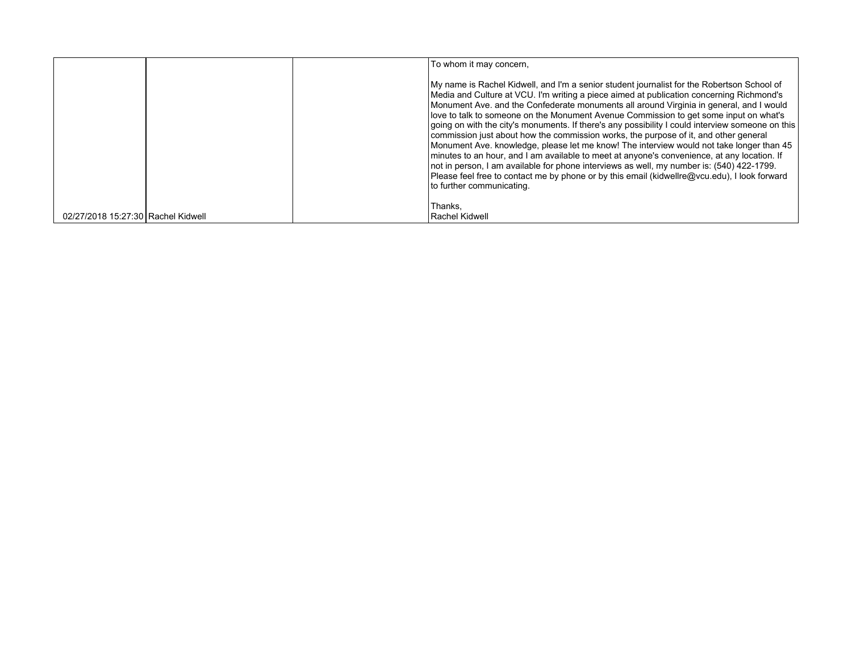|                                    | To whom it may concern,                                                                                                                                                                                                                                                                                                                                                                                                                                                                                                                                                                                                                                                                                                                                                                                                                                                                                                                                                                       |
|------------------------------------|-----------------------------------------------------------------------------------------------------------------------------------------------------------------------------------------------------------------------------------------------------------------------------------------------------------------------------------------------------------------------------------------------------------------------------------------------------------------------------------------------------------------------------------------------------------------------------------------------------------------------------------------------------------------------------------------------------------------------------------------------------------------------------------------------------------------------------------------------------------------------------------------------------------------------------------------------------------------------------------------------|
|                                    | My name is Rachel Kidwell, and I'm a senior student journalist for the Robertson School of<br>Media and Culture at VCU. I'm writing a piece aimed at publication concerning Richmond's<br>Monument Ave. and the Confederate monuments all around Virginia in general, and I would<br>love to talk to someone on the Monument Avenue Commission to get some input on what's<br>going on with the city's monuments. If there's any possibility I could interview someone on this<br>commission just about how the commission works, the purpose of it, and other general<br>Monument Ave. knowledge, please let me know! The interview would not take longer than 45<br>minutes to an hour, and I am available to meet at anyone's convenience, at any location. If<br>not in person, I am available for phone interviews as well, my number is: (540) 422-1799.<br>Please feel free to contact me by phone or by this email (kidwellre@ycu.edu), I look forward<br>l to further communicating. |
| 02/27/2018 15:27:30 Rachel Kidwell | Thanks.<br>Rachel Kidwell                                                                                                                                                                                                                                                                                                                                                                                                                                                                                                                                                                                                                                                                                                                                                                                                                                                                                                                                                                     |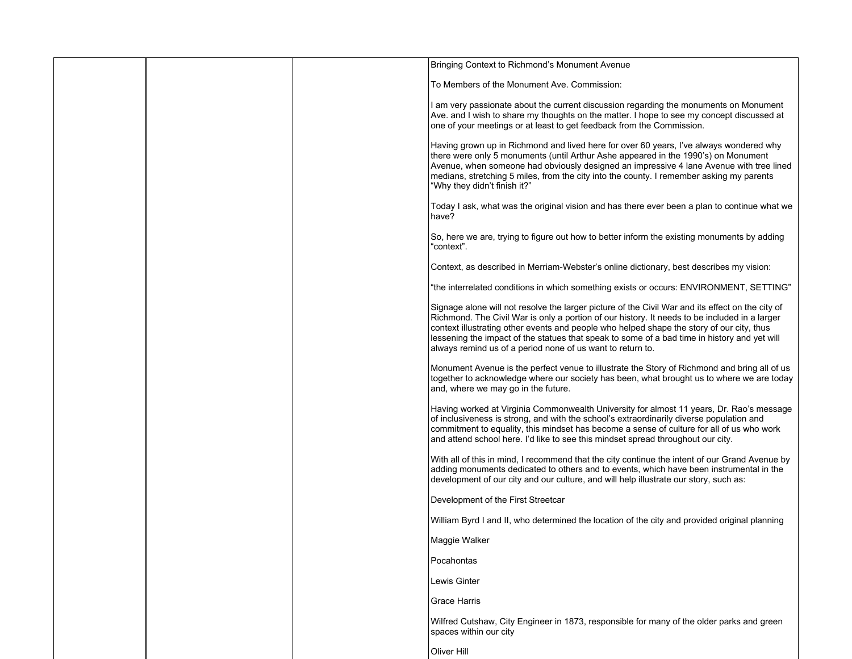|  | Bringing Context to Richmond's Monument Avenue                                                                                                                                                                                                                                                                                                                                                                                                               |
|--|--------------------------------------------------------------------------------------------------------------------------------------------------------------------------------------------------------------------------------------------------------------------------------------------------------------------------------------------------------------------------------------------------------------------------------------------------------------|
|  | To Members of the Monument Ave. Commission:                                                                                                                                                                                                                                                                                                                                                                                                                  |
|  | I am very passionate about the current discussion regarding the monuments on Monument<br>Ave. and I wish to share my thoughts on the matter. I hope to see my concept discussed at<br>one of your meetings or at least to get feedback from the Commission.                                                                                                                                                                                                  |
|  | Having grown up in Richmond and lived here for over 60 years, I've always wondered why<br>there were only 5 monuments (until Arthur Ashe appeared in the 1990's) on Monument<br>Avenue, when someone had obviously designed an impressive 4 lane Avenue with tree lined<br>medians, stretching 5 miles, from the city into the county. I remember asking my parents<br>"Why they didn't finish it?"                                                          |
|  | Today I ask, what was the original vision and has there ever been a plan to continue what we<br>have?                                                                                                                                                                                                                                                                                                                                                        |
|  | So, here we are, trying to figure out how to better inform the existing monuments by adding<br>"context".                                                                                                                                                                                                                                                                                                                                                    |
|  | Context, as described in Merriam-Webster's online dictionary, best describes my vision:                                                                                                                                                                                                                                                                                                                                                                      |
|  | "the interrelated conditions in which something exists or occurs: ENVIRONMENT, SETTING"                                                                                                                                                                                                                                                                                                                                                                      |
|  | Signage alone will not resolve the larger picture of the Civil War and its effect on the city of<br>Richmond. The Civil War is only a portion of our history. It needs to be included in a larger<br>context illustrating other events and people who helped shape the story of our city, thus<br>lessening the impact of the statues that speak to some of a bad time in history and yet will<br>always remind us of a period none of us want to return to. |
|  | Monument Avenue is the perfect venue to illustrate the Story of Richmond and bring all of us<br>together to acknowledge where our society has been, what brought us to where we are today<br>and, where we may go in the future.                                                                                                                                                                                                                             |
|  | Having worked at Virginia Commonwealth University for almost 11 years, Dr. Rao's message<br>of inclusiveness is strong, and with the school's extraordinarily diverse population and<br>commitment to equality, this mindset has become a sense of culture for all of us who work<br>and attend school here. I'd like to see this mindset spread throughout our city.                                                                                        |
|  | With all of this in mind, I recommend that the city continue the intent of our Grand Avenue by<br>adding monuments dedicated to others and to events, which have been instrumental in the<br>development of our city and our culture, and will help illustrate our story, such as:                                                                                                                                                                           |
|  | Development of the First Streetcar                                                                                                                                                                                                                                                                                                                                                                                                                           |
|  | William Byrd I and II, who determined the location of the city and provided original planning                                                                                                                                                                                                                                                                                                                                                                |
|  | Maggie Walker                                                                                                                                                                                                                                                                                                                                                                                                                                                |
|  | Pocahontas                                                                                                                                                                                                                                                                                                                                                                                                                                                   |
|  | Lewis Ginter                                                                                                                                                                                                                                                                                                                                                                                                                                                 |
|  | Grace Harris                                                                                                                                                                                                                                                                                                                                                                                                                                                 |
|  | Wilfred Cutshaw, City Engineer in 1873, responsible for many of the older parks and green<br>spaces within our city                                                                                                                                                                                                                                                                                                                                          |
|  | Oliver Hill                                                                                                                                                                                                                                                                                                                                                                                                                                                  |